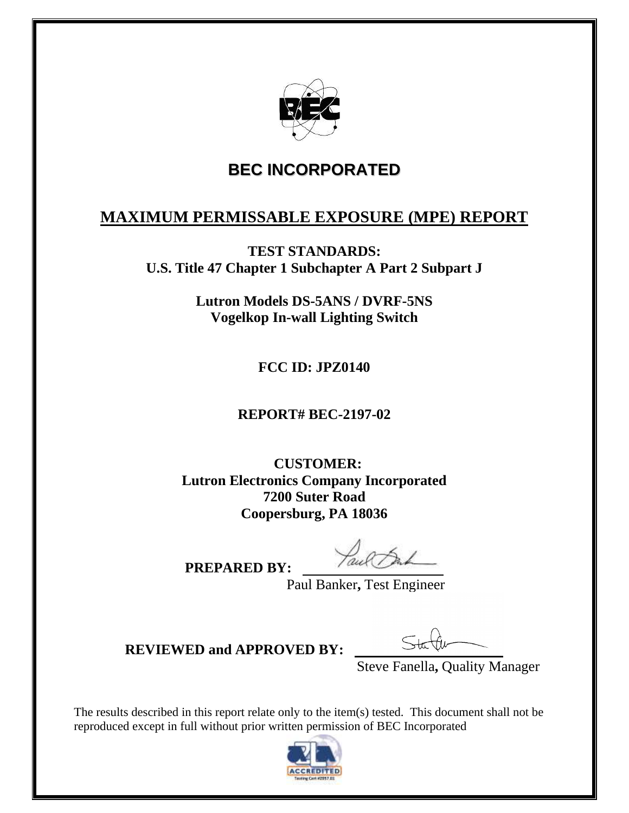

# **BEC INCORPORATED**

### **MAXIMUM PERMISSABLE EXPOSURE (MPE) REPORT**

**TEST STANDARDS: U.S. Title 47 Chapter 1 Subchapter A Part 2 Subpart J**

> **Lutron Models DS-5ANS / DVRF-5NS Vogelkop In-wall Lighting Switch**

> > **FCC ID: JPZ0140**

**REPORT# BEC-2197-02**

 **CUSTOMER: Lutron Electronics Company Incorporated 7200 Suter Road Coopersburg, PA 18036**

**PREPARED BY:** 

Paul Banker**,** Test Engineer

**REVIEWED and APPROVED BY:** 

Steve Fanella**,** Quality Manager

The results described in this report relate only to the item(s) tested. This document shall not be reproduced except in full without prior written permission of BEC Incorporated

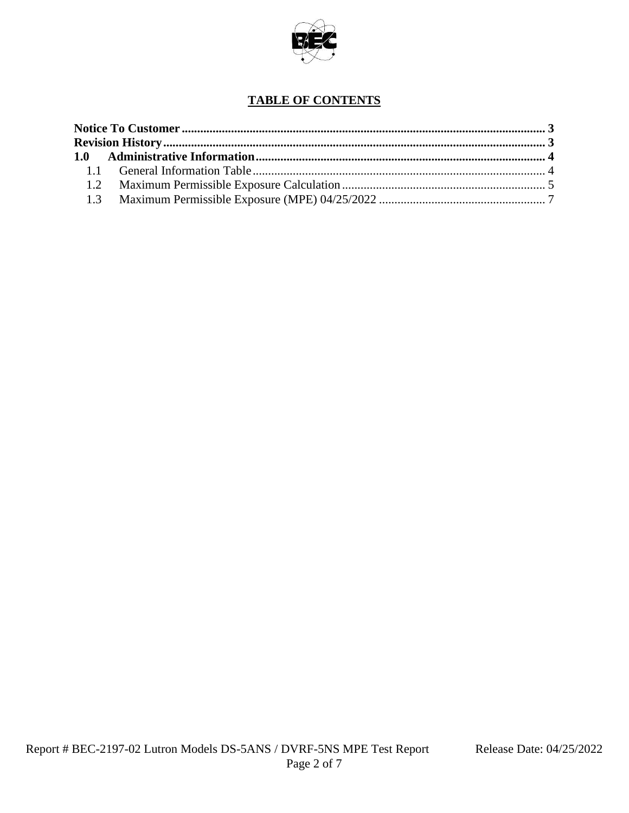

## **TABLE OF CONTENTS**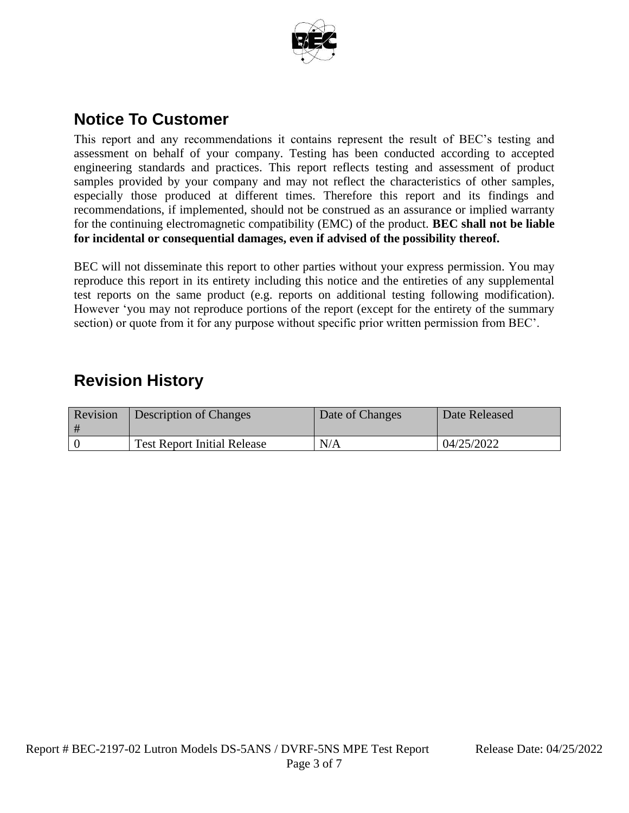

## <span id="page-2-0"></span>**Notice To Customer**

This report and any recommendations it contains represent the result of BEC's testing and assessment on behalf of your company. Testing has been conducted according to accepted engineering standards and practices. This report reflects testing and assessment of product samples provided by your company and may not reflect the characteristics of other samples, especially those produced at different times. Therefore this report and its findings and recommendations, if implemented, should not be construed as an assurance or implied warranty for the continuing electromagnetic compatibility (EMC) of the product. **BEC shall not be liable for incidental or consequential damages, even if advised of the possibility thereof.**

BEC will not disseminate this report to other parties without your express permission. You may reproduce this report in its entirety including this notice and the entireties of any supplemental test reports on the same product (e.g. reports on additional testing following modification). However 'you may not reproduce portions of the report (except for the entirety of the summary section) or quote from it for any purpose without specific prior written permission from BEC'.

## <span id="page-2-1"></span>**Revision History**

| Revision<br># | Description of Changes             | Date of Changes | Date Released |
|---------------|------------------------------------|-----------------|---------------|
|               | <b>Test Report Initial Release</b> | N/A             | 04/25/2022    |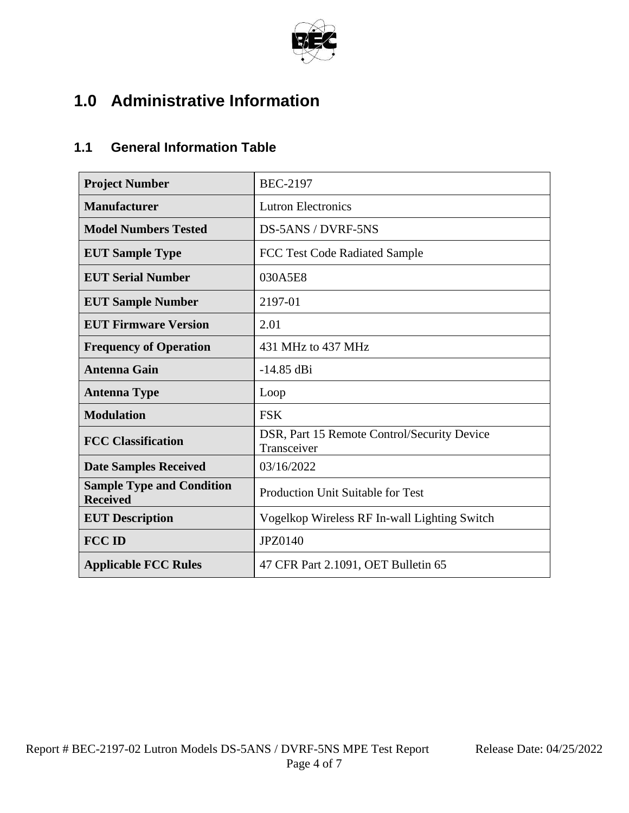

# <span id="page-3-0"></span>**1.0 Administrative Information**

### <span id="page-3-1"></span>**1.1 General Information Table**

| <b>Project Number</b>                               | <b>BEC-2197</b>                                            |  |  |  |
|-----------------------------------------------------|------------------------------------------------------------|--|--|--|
| <b>Manufacturer</b>                                 | <b>Lutron Electronics</b>                                  |  |  |  |
| <b>Model Numbers Tested</b>                         | DS-5ANS / DVRF-5NS                                         |  |  |  |
| <b>EUT Sample Type</b>                              | FCC Test Code Radiated Sample                              |  |  |  |
| <b>EUT Serial Number</b>                            | 030A5E8                                                    |  |  |  |
| <b>EUT Sample Number</b>                            | 2197-01                                                    |  |  |  |
| <b>EUT Firmware Version</b>                         | 2.01                                                       |  |  |  |
| <b>Frequency of Operation</b>                       | 431 MHz to 437 MHz                                         |  |  |  |
| <b>Antenna Gain</b>                                 | $-14.85$ dBi                                               |  |  |  |
| <b>Antenna Type</b>                                 | Loop                                                       |  |  |  |
| <b>Modulation</b>                                   | <b>FSK</b>                                                 |  |  |  |
| <b>FCC Classification</b>                           | DSR, Part 15 Remote Control/Security Device<br>Transceiver |  |  |  |
| <b>Date Samples Received</b>                        | 03/16/2022                                                 |  |  |  |
| <b>Sample Type and Condition</b><br><b>Received</b> | <b>Production Unit Suitable for Test</b>                   |  |  |  |
| <b>EUT Description</b>                              | Vogelkop Wireless RF In-wall Lighting Switch               |  |  |  |
| <b>FCC ID</b>                                       | <b>JPZ0140</b>                                             |  |  |  |
| <b>Applicable FCC Rules</b>                         | 47 CFR Part 2.1091, OET Bulletin 65                        |  |  |  |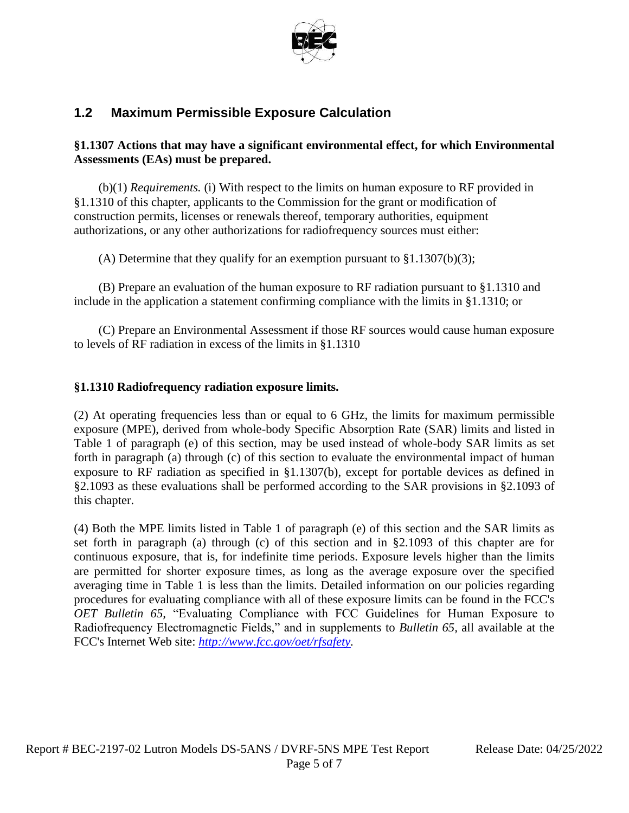

### <span id="page-4-0"></span>**1.2 Maximum Permissible Exposure Calculation**

#### **§1.1307 Actions that may have a significant environmental effect, for which Environmental Assessments (EAs) must be prepared.**

(b)(1) *Requirements.* (i) With respect to the limits on human exposure to RF provided in §1.1310 of this chapter, applicants to the Commission for the grant or modification of construction permits, licenses or renewals thereof, temporary authorities, equipment authorizations, or any other authorizations for radiofrequency sources must either:

(A) Determine that they qualify for an exemption pursuant to  $$1.1307(b)(3);$ 

(B) Prepare an evaluation of the human exposure to RF radiation pursuant to §1.1310 and include in the application a statement confirming compliance with the limits in §1.1310; or

(C) Prepare an Environmental Assessment if those RF sources would cause human exposure to levels of RF radiation in excess of the limits in §1.1310

#### **§1.1310 Radiofrequency radiation exposure limits.**

(2) At operating frequencies less than or equal to 6 GHz, the limits for maximum permissible exposure (MPE), derived from whole-body Specific Absorption Rate (SAR) limits and listed in Table 1 of paragraph (e) of this section, may be used instead of whole-body SAR limits as set forth in paragraph (a) through (c) of this section to evaluate the environmental impact of human exposure to RF radiation as specified in §1.1307(b), except for portable devices as defined in §2.1093 as these evaluations shall be performed according to the SAR provisions in §2.1093 of this chapter.

(4) Both the MPE limits listed in Table 1 of paragraph (e) of this section and the SAR limits as set forth in paragraph (a) through (c) of this section and in §2.1093 of this chapter are for continuous exposure, that is, for indefinite time periods. Exposure levels higher than the limits are permitted for shorter exposure times, as long as the average exposure over the specified averaging time in Table 1 is less than the limits. Detailed information on our policies regarding procedures for evaluating compliance with all of these exposure limits can be found in the FCC's *OET Bulletin 65,* "Evaluating Compliance with FCC Guidelines for Human Exposure to Radiofrequency Electromagnetic Fields," and in supplements to *Bulletin 65,* all available at the FCC's Internet Web site: *[http://www.fcc.gov/oet/rfsafety.](http://www.fcc.gov/oet/rfsafety)*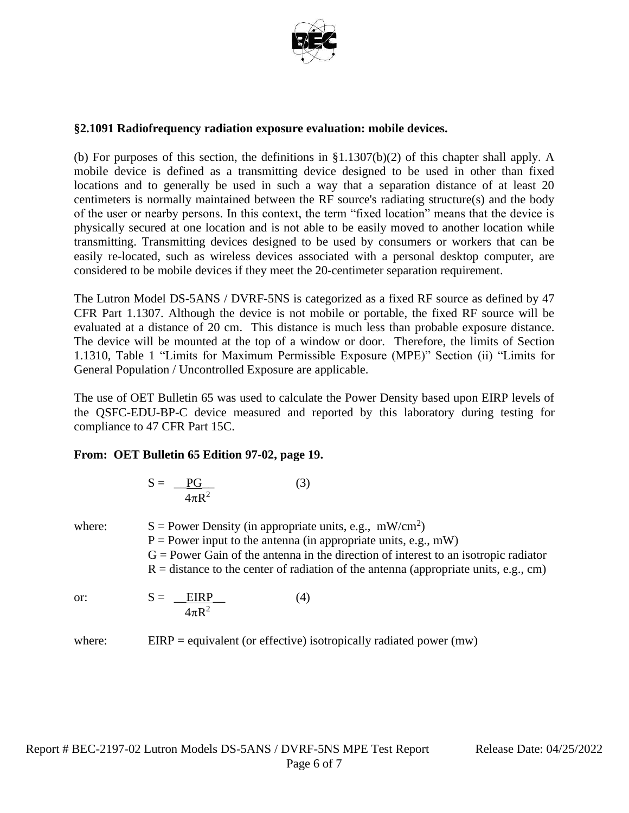

#### **§2.1091 Radiofrequency radiation exposure evaluation: mobile devices.**

(b) For purposes of this section, the definitions in §1.1307(b)(2) of this chapter shall apply. A mobile device is defined as a transmitting device designed to be used in other than fixed locations and to generally be used in such a way that a separation distance of at least 20 centimeters is normally maintained between the RF source's radiating structure(s) and the body of the user or nearby persons. In this context, the term "fixed location" means that the device is physically secured at one location and is not able to be easily moved to another location while transmitting. Transmitting devices designed to be used by consumers or workers that can be easily re-located, such as wireless devices associated with a personal desktop computer, are considered to be mobile devices if they meet the 20-centimeter separation requirement.

The Lutron Model DS-5ANS / DVRF-5NS is categorized as a fixed RF source as defined by 47 CFR Part 1.1307. Although the device is not mobile or portable, the fixed RF source will be evaluated at a distance of 20 cm. This distance is much less than probable exposure distance. The device will be mounted at the top of a window or door. Therefore, the limits of Section 1.1310, Table 1 "Limits for Maximum Permissible Exposure (MPE)" Section (ii) "Limits for General Population / Uncontrolled Exposure are applicable.

The use of OET Bulletin 65 was used to calculate the Power Density based upon EIRP levels of the QSFC-EDU-BP-C device measured and reported by this laboratory during testing for compliance to 47 CFR Part 15C.

#### **From: OET Bulletin 65 Edition 97-02, page 19.**

$$
S = \frac{PG}{4\pi R^2} \tag{3}
$$

| where: | $S = Power Density (in appropriate units, e.g., mW/cm2)$<br>$P = Power$ input to the antenna (in appropriate units, e.g., mW)<br>$G =$ Power Gain of the antenna in the direction of interest to an isotropic radiator<br>$R =$ distance to the center of radiation of the antenna (appropriate units, e.g., cm) |  |  |  |  |
|--------|------------------------------------------------------------------------------------------------------------------------------------------------------------------------------------------------------------------------------------------------------------------------------------------------------------------|--|--|--|--|
| or:    | $S = EIRP$<br>(4)<br>$4\pi R^2$                                                                                                                                                                                                                                                                                  |  |  |  |  |
| where: | $EIRP =$ equivalent (or effective) isotropically radiated power (mw)                                                                                                                                                                                                                                             |  |  |  |  |